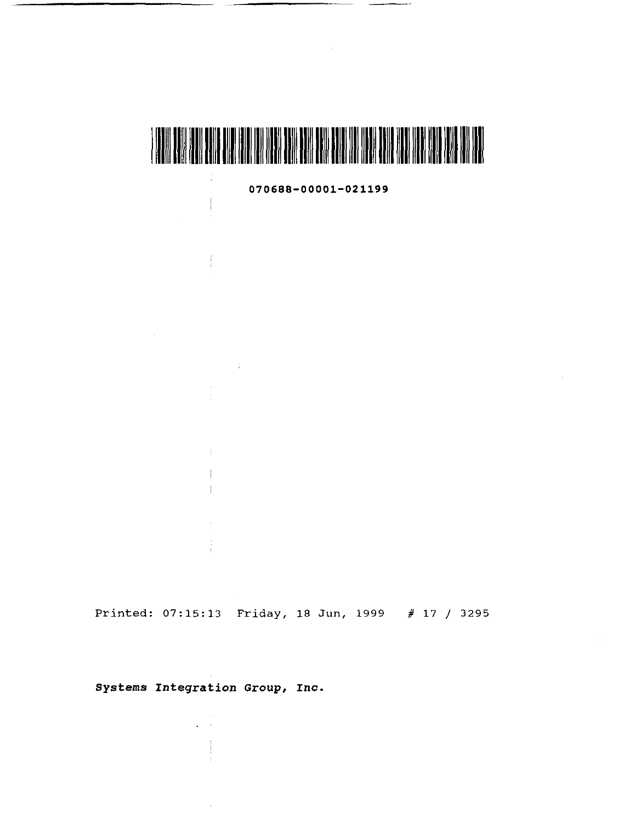

**070688-00001-021199** 

Printed: 07:15:13 Friday, 18 Jun, 1999 # 17 / 3295

**systems Integration Group,** *Inc.* 

 $\sqrt{1-\alpha}$ 

 $\mathbb{R}^2$ 

 $\begin{array}{c} \begin{array}{c} \begin{array}{c} \end{array} \\ \begin{array}{c} \end{array} \end{array} \end{array}$ 

 $\frac{1}{4}$ 

 $\sim 10$ 

 $\frac{1}{2}$  $\mathbf{L}$ 

 $\mathcal{L}^{\text{max}}_{\text{max}}$  and  $\mathcal{L}^{\text{max}}_{\text{max}}$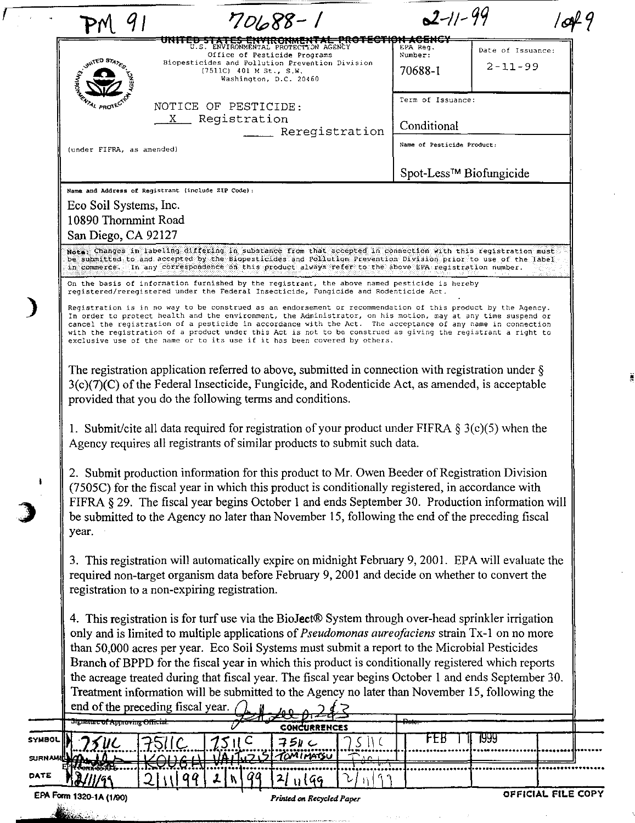|               | 9 <sub>1</sub>                                                                                                                                                                                                                                                                                                                                                                                                                                                                                                                                                                                                                                                      |    |                           | $70688 - 1$                                                                                               |                     | $2 - 11 - 99$                       |                   |  |
|---------------|---------------------------------------------------------------------------------------------------------------------------------------------------------------------------------------------------------------------------------------------------------------------------------------------------------------------------------------------------------------------------------------------------------------------------------------------------------------------------------------------------------------------------------------------------------------------------------------------------------------------------------------------------------------------|----|---------------------------|-----------------------------------------------------------------------------------------------------------|---------------------|-------------------------------------|-------------------|--|
|               |                                                                                                                                                                                                                                                                                                                                                                                                                                                                                                                                                                                                                                                                     |    |                           | UNITED OF REPORT IN A ROUND PLEASE<br>U.S. ENVIRONMENTAL PROTECTION AGENCY                                |                     | ₦ <del>★₳₲</del> ₦₩₩<br>EPA Req.    | Date of Issuance: |  |
|               | <b>NAITED STA</b>                                                                                                                                                                                                                                                                                                                                                                                                                                                                                                                                                                                                                                                   |    | $(7511C)$ 401 M St., S.W. | Office of Pesticide Programs<br>Biopesticides and Pollution Prevention Division<br>Washington, D.C. 20460 |                     | Number:<br>70688-1                  | $2 - 11 - 99$     |  |
|               | <b>ENTAL PROTEC</b>                                                                                                                                                                                                                                                                                                                                                                                                                                                                                                                                                                                                                                                 |    | NOTICE OF PESTICIDE:      |                                                                                                           |                     | Term of Issuance:                   |                   |  |
|               |                                                                                                                                                                                                                                                                                                                                                                                                                                                                                                                                                                                                                                                                     |    | X Registration            | Reregistration                                                                                            |                     | Conditional                         |                   |  |
|               | (under FIFRA, as amended)                                                                                                                                                                                                                                                                                                                                                                                                                                                                                                                                                                                                                                           |    |                           |                                                                                                           |                     | Name of Pesticide Product:          |                   |  |
|               |                                                                                                                                                                                                                                                                                                                                                                                                                                                                                                                                                                                                                                                                     |    |                           |                                                                                                           |                     | Spot-Less <sup>™</sup> Biofungicide |                   |  |
|               | Name and Address of Registrant (include ZIP Code):                                                                                                                                                                                                                                                                                                                                                                                                                                                                                                                                                                                                                  |    |                           |                                                                                                           |                     |                                     |                   |  |
|               | Eco Soil Systems, Inc.                                                                                                                                                                                                                                                                                                                                                                                                                                                                                                                                                                                                                                              |    |                           |                                                                                                           |                     |                                     |                   |  |
|               | 10890 Thornmint Road                                                                                                                                                                                                                                                                                                                                                                                                                                                                                                                                                                                                                                                |    |                           |                                                                                                           |                     |                                     |                   |  |
|               | San Diego, CA 92127                                                                                                                                                                                                                                                                                                                                                                                                                                                                                                                                                                                                                                                 |    |                           |                                                                                                           |                     |                                     |                   |  |
|               | Nota: Changes in labeling differing in substance from that accepted in connection with this registration must<br>be submitted to and accepted by the Biopesticides and Pollution Prevention Division prior to use of the label<br>in commerce. In any correspondence on this product always refer to the above EPA registration number.                                                                                                                                                                                                                                                                                                                             |    |                           |                                                                                                           |                     |                                     |                   |  |
|               | On the basis of information furnished by the registrant, the above named pesticide is hereby<br>registered/reregistered under the Federal Insecticide, Fungicide and Rodenticide Act.                                                                                                                                                                                                                                                                                                                                                                                                                                                                               |    |                           |                                                                                                           |                     |                                     |                   |  |
|               | Registration is in no way to be construed as an endorsement or recommendation of this product by the Agency.<br>In order to protect health and the environment, the Administrator, on his motion, may at any time suspend or<br>cancel the registration of a pesticide in accordance with the Act. The acceptance of any name in connection<br>with the registration of a product under this Act is not to be construed as giving the registrant a right to<br>exclusive use of the name or to its use if it has been covered by others.                                                                                                                            |    |                           |                                                                                                           |                     |                                     |                   |  |
|               | The registration application referred to above, submitted in connection with registration under $\S$<br>$3(c)(7)(C)$ of the Federal Insecticide, Fungicide, and Rodenticide Act, as amended, is acceptable<br>provided that you do the following terms and conditions.                                                                                                                                                                                                                                                                                                                                                                                              |    |                           |                                                                                                           |                     |                                     |                   |  |
|               | 1. Submit/cite all data required for registration of your product under FIFRA $\S 3(c)(5)$ when the<br>Agency requires all registrants of similar products to submit such data.                                                                                                                                                                                                                                                                                                                                                                                                                                                                                     |    |                           |                                                                                                           |                     |                                     |                   |  |
|               | 2. Submit production information for this product to Mr. Owen Beeder of Registration Division<br>(7505C) for the fiscal year in which this product is conditionally registered, in accordance with<br>FIFRA § 29. The fiscal year begins October 1 and ends September 30. Production information will<br>be submitted to the Agency no later than November 15, following the end of the preceding fiscal<br>year.                                                                                                                                                                                                                                                   |    |                           |                                                                                                           |                     |                                     |                   |  |
|               | 3. This registration will automatically expire on midnight February 9, 2001. EPA will evaluate the<br>required non-target organism data before February 9, 2001 and decide on whether to convert the<br>registration to a non-expiring registration.                                                                                                                                                                                                                                                                                                                                                                                                                |    |                           |                                                                                                           |                     |                                     |                   |  |
|               | 4. This registration is for turf use via the BioJect® System through over-head sprinkler irrigation<br>only and is limited to multiple applications of <i>Pseudomonas aureofaciens</i> strain Tx-1 on no more<br>than 50,000 acres per year. Eco Soil Systems must submit a report to the Microbial Pesticides<br>Branch of BPPD for the fiscal year in which this product is conditionally registered which reports<br>the acreage treated during that fiscal year. The fiscal year begins October 1 and ends September 30.<br>Treatment information will be submitted to the Agency no later than November 15, following the<br>end of the preceding fiscal year. |    |                           |                                                                                                           |                     |                                     |                   |  |
|               | Signature of Approving Officia                                                                                                                                                                                                                                                                                                                                                                                                                                                                                                                                                                                                                                      |    |                           | <b>CONCURRENCES</b>                                                                                       |                     |                                     |                   |  |
| <b>SYMBOL</b> |                                                                                                                                                                                                                                                                                                                                                                                                                                                                                                                                                                                                                                                                     |    | 7511 C                    | 754C                                                                                                      | $S$ $\parallel$ $C$ | FEB                                 | 1999              |  |
| SURN/         |                                                                                                                                                                                                                                                                                                                                                                                                                                                                                                                                                                                                                                                                     |    | 1141725                   | TOMIMATSU                                                                                                 |                     |                                     |                   |  |
| DATE          |                                                                                                                                                                                                                                                                                                                                                                                                                                                                                                                                                                                                                                                                     | 21 |                           | 2/1169                                                                                                    |                     |                                     |                   |  |
|               |                                                                                                                                                                                                                                                                                                                                                                                                                                                                                                                                                                                                                                                                     |    |                           |                                                                                                           |                     |                                     |                   |  |

 $\hat{\mathcal{L}}_{\text{max}}$  , where  $\hat{\mathcal{L}}_{\text{max}}$  and  $\hat{\mathcal{L}}_{\text{max}}$ 

أأراد والمامر والمتع المهادة متحلم وتوعدون تناولت

k.

ğ

 $\mathcal{L}$ 

þ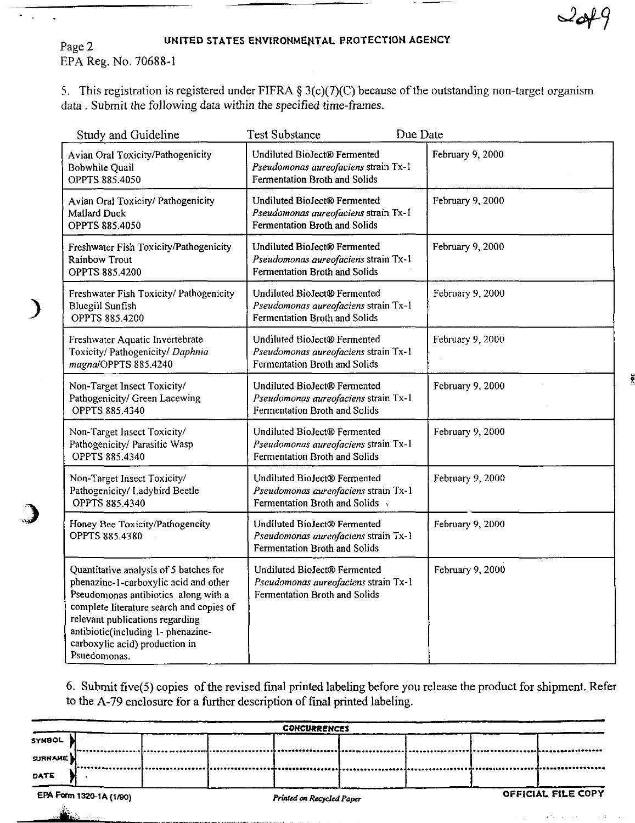$\sim$ 

# Page 2 UNITED STATES ENVIRONMENTAL PROTECTION AGENCY

EPA Reg. No. 70688-1

l.

)

5. This registration is registered under FIFRA  $\S 3(c)(7)(C)$  because of the outstanding non-target organism data. Submit the following data within the specified time-frames.

| Study and Guideline                                                                                                                                                                                                                                                                            | <b>Test Substance</b>                                                                                 | Due Date         |
|------------------------------------------------------------------------------------------------------------------------------------------------------------------------------------------------------------------------------------------------------------------------------------------------|-------------------------------------------------------------------------------------------------------|------------------|
| Avian Oral Toxicity/Pathogenicity<br><b>Bobwhite Quail</b><br>OPPTS 885.4050                                                                                                                                                                                                                   | Undiluted BioJect® Fermented<br>Pseudomonas aureofaciens strain Tx-1<br>Fermentation Broth and Solids | February 9, 2000 |
| Avian Oral Toxicity/ Pathogenicity<br>Mallard Duck<br>OPPTS 885.4050                                                                                                                                                                                                                           | Undiluted BioJect® Fermented<br>Pseudomonas aureofaciens strain Tx-1<br>Fermentation Broth and Solids | February 9, 2000 |
| Freshwater Fish Toxicity/Pathogenicity<br><b>Rainbow Trout</b><br><b>OPPTS 885.4200</b>                                                                                                                                                                                                        | Undiluted BioJect® Fermented<br>Pseudomonas aureofaciens strain Tx-1<br>Fermentation Broth and Solids | February 9, 2000 |
| Freshwater Fish Toxicity/ Pathogenicity<br><b>Bluegill Sunfish</b><br><b>OPPTS 885.4200</b>                                                                                                                                                                                                    | Undiluted BioJect® Fermented<br>Pseudomonas aureofaciens strain Tx-1<br>Fermentation Broth and Solids | February 9, 2000 |
| Freshwater Aquatic Invertebrate<br>Toxicity/ Pathogenicity/ Daphnia<br>magna/OPPTS 885.4240                                                                                                                                                                                                    | Undiluted BioJect® Fermented<br>Pseudomonas aureofaciens strain Tx-1<br>Fermentation Broth and Solids | February 9, 2000 |
| Non-Target Insect Toxicity/<br>Pathogenicity/ Green Lacewing<br>OPPTS 885.4340                                                                                                                                                                                                                 | Undiluted BioJect® Fermented<br>Pseudomonas aureofaciens strain Tx-1<br>Fermentation Broth and Solids | February 9, 2000 |
| Non-Target Insect Toxicity/<br>Pathogenicity/ Parasitic Wasp<br><b>OPPTS 885.4340</b>                                                                                                                                                                                                          | Undiluted BioJect® Fermented<br>Pseudomonas aureofaciens strain Tx-1<br>Fermentation Broth and Solids | February 9, 2000 |
| Non-Target Insect Toxicity/<br>Pathogenicity/ Ladybird Beetle<br><b>OPPTS 885.4340</b>                                                                                                                                                                                                         | Undiluted BioJect® Fermented<br>Pseudomonas aureofaciens strain Tx-1<br>Fermentation Broth and Solids | February 9, 2000 |
| Honey Bee Toxicity/Pathogencity<br>OPPTS 885.4380                                                                                                                                                                                                                                              | Undiluted BioJect® Fermented<br>Pseudomonas aureofaciens strain Tx-1<br>Fermentation Broth and Solids | February 9, 2000 |
| Quantitative analysis of 5 batches for<br>phenazine-1-carboxylic acid and other<br>Pseudomonas antibiotics along with a<br>complete literature search and copies of<br>relevant publications regarding<br>antibiotic(including 1- phenazine-<br>carboxylic acid) production in<br>Psuedomonas. | Undiluted BioJect® Fermented<br>Pseudomonas aureofaciens strain Tx-1<br>Fermentation Broth and Solids | February 9, 2000 |

6. Submit five(5) copies of the revised final printed labeling before you release the product for shipment. Refer to the A -79 enclosure for a further description of final printed labeling.

| <b>CONCURRENCES</b>     |  |  |                           |  |  |                    |  |  |
|-------------------------|--|--|---------------------------|--|--|--------------------|--|--|
| <b>SYMBOL</b>           |  |  |                           |  |  |                    |  |  |
| SURNAME)                |  |  |                           |  |  |                    |  |  |
| DATE                    |  |  |                           |  |  |                    |  |  |
| EPA Form 1320-1A (1/90) |  |  | Printed on Recycled Paper |  |  | OFFICIAL FILE COPY |  |  |

, it is a sequence of  $\mathcal{L}$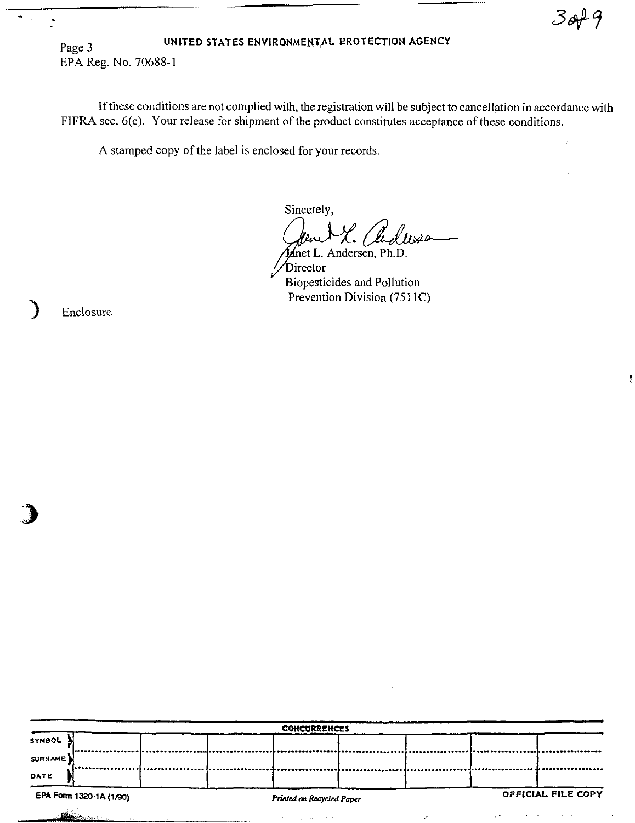$3049$ 

#### UNITED STATES ENVIRONMENTAL PROTECTION AGENCY Page 3 EPA Reg. No. 70688-1

If these conditions are not complied with, the registration will be subject to cancellation in accordance with FIFRA sec. 6(e). Your release for shipment of the product constitutes acceptance of these conditions.

A stamped copy of the label is enclosed for your records.

Sincerely, Janet L. Andersen, Ph.D.

Director Biopesticides and Pollution Prevention Division (7511C)

Enclosure

| <b>CONCURRENCES</b>                                  |  |  |  |  |                    |  |  |
|------------------------------------------------------|--|--|--|--|--------------------|--|--|
| SYMBOL                                               |  |  |  |  |                    |  |  |
| SURNAME                                              |  |  |  |  |                    |  |  |
| DATE                                                 |  |  |  |  |                    |  |  |
| EPA Form 1320-1A (1/90)<br>Printed on Recycled Paper |  |  |  |  | OFFICIAL FILE COPY |  |  |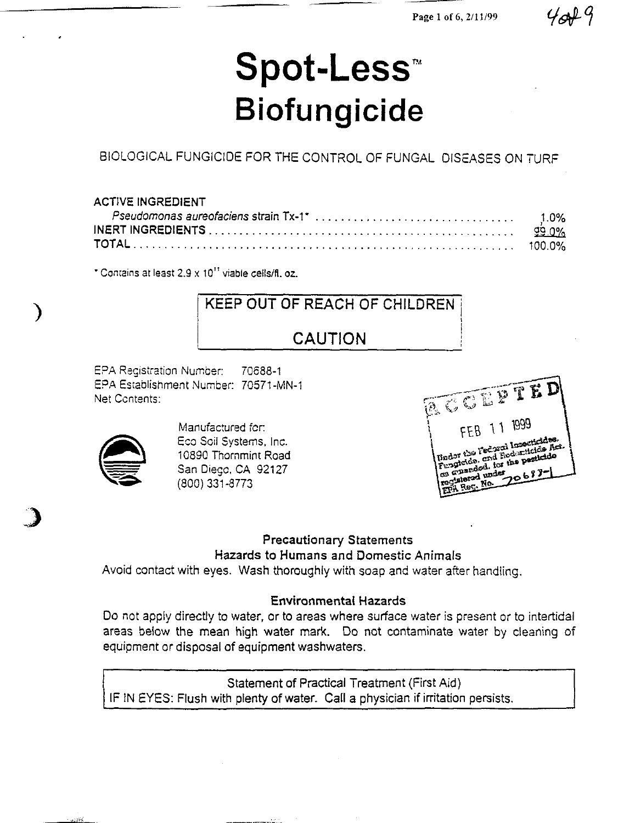# **Spot-Less<sup>n</sup> • Biofungicide**

BIOLOGICAL FUNGICIDE FOR THE CONTROL OF FUNGAL DISEASES ON TURF

#### ACTIVE INGREDIENT

• Comains at least 2.9 x 10" viable celislfl. oz.

# KEEP OUT OF REACH OF CHILDREN CAUTION

EPA Registration Number: 70688-1 EPA ESlablishment Number: 70S71-MN-1 Net Ccntents:



" "I"~

)

Manufactured fer: Eco Soil Systems, Inc. 10890 Thornmint Road San Diege, CA 92127 (800) 331-8773

**ACCEPTED** FEB 11 1999 TED<br>Body the Federal Insecticides Act<br>Body the Federal Bodynamicles Act Trador the Federal Insecticides.<br>Trador the Federal Ecclesitation Act.<br>Fungitation, for the periodic fungitation. Sudor the Federal Hodonucles for Cuardou des

## Precautionary Statements Hazards to Humans and Domestic Animals

Avoid contact with eyes. Wash thoroughly with soap and water after handling.

## Environmental Hazards

Do not apply directly to water, or to areas where surface water is present or to intertidal areas below the mean high water mark. Do not contaminate water by cleaning of equipment or disposal of equipment washwaters.

Statement of Practical Treatment (First Aid) IF IN EYES: Flush with plenty of water. Call a physician if irritation persists.

 $4049$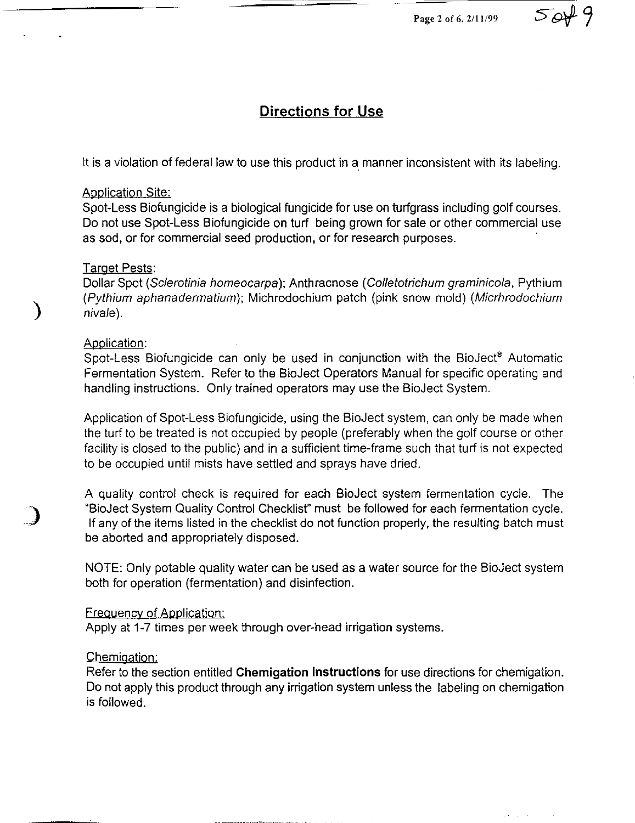# **Directions for Use**

It is a violation of federal law to use this product in a manner inconsistent with its labeling.

#### Application Site:

Spot-Less Biofungicide is a biological fungicide for use on turfgrass including golf courses. Do not use Spot-Less Biofungicide on turf being grown for sale or other commercial use as sod. or for commercial seed production. or for research purposes.

#### **Target Pests:**

Dollar Spot (Sclerotinia homeocarpa); Anthracnose (Colletotrichum graminicola, Pythium (Pythium aphanadermatium); Michrodochium patch (pink snow mold) (Micrhrodochium niva/e).

#### Application:

)

)

Spot-Less Biofungicide can only be used in conjunction with the BioJect® Automatic Fermentation System. Refer to the BioJect Operators Manual for specific operating and handling instructions. Only trained operators may use the BioJect System.

Application of Spot-Less Biofungicide. using the BioJect system. can only be made when the turf to be treated is not occupied by people (preferably when the golf course or other facility is closed to the public) and in a sufficient time-frame such that turf is not expected to be occupied until mists have settled and sprays have dried.

A quality control check is required for each BioJect system fermentation cycle. The "BioJect System Quality Control Checklist" must be followed for each fermentation cycle. If any of the items listed in the checklist do not function properly, the resulting batch must be aborted and appropriately disposed.

NOTE: Only potable quality water can be used as a water source for the BioJect system both for operation (fermentation) and disinfection.

#### Frequency of Application:

Apply at 1-7 times per week through over-head irrigation systems.

#### Chemigation:

Refer to the section entitled **Chemigation Instructions** for use directions for chemigation. Do not apply this product through any irrigation system unless the labeling on chemigation is followed.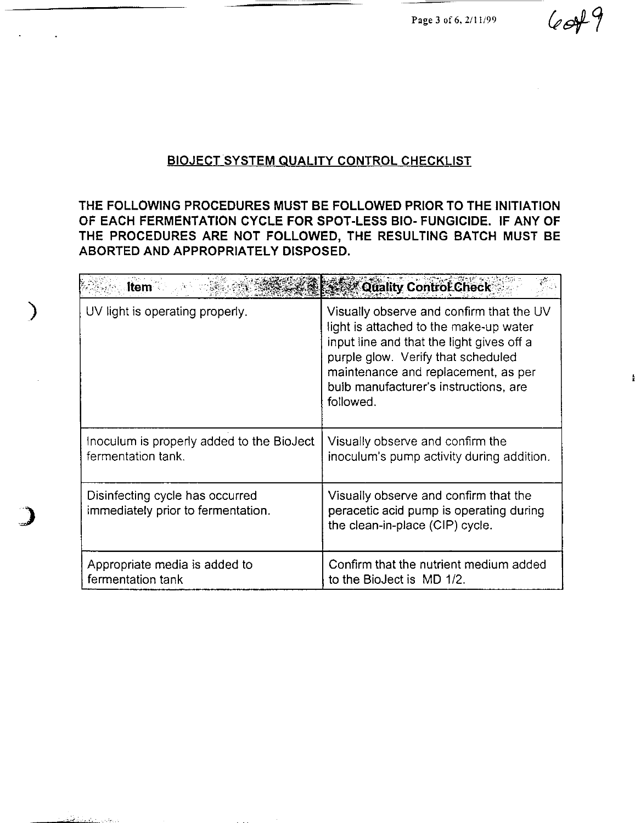Page 3 of 6, 2/11/99

 $6049$ 

# **BIOJECT SYSTEM QUALITY CONTROL CHECKLIST**

**THE FOLLOWING PROCEDURES MUST BE FOLLOWED PRIOR TO THE INITIATION OF EACH FERMENTATION CYCLE FOR SPOT-LESS BIO- FUNGICIDE. IF ANY OF THE PROCEDURES ARE NOT FOLLOWED, THE RESULTING BATCH MUST BE ABORTED AND APPROPRIATELY DISPOSED.** 

)

ەل يەقەدىر <u>- ئاسلامى</u>

| <b>Item</b>                                                           | Quality Control Check                                                                                                                                                                                                                                              |  |  |  |
|-----------------------------------------------------------------------|--------------------------------------------------------------------------------------------------------------------------------------------------------------------------------------------------------------------------------------------------------------------|--|--|--|
| UV light is operating properly.                                       | Visually observe and confirm that the UV<br>light is attached to the make-up water<br>input line and that the light gives off a<br>purple glow. Verify that scheduled<br>maintenance and replacement, as per<br>buib manufacturer's instructions, are<br>followed. |  |  |  |
| Inoculum is properly added to the BioJect<br>fermentation tank.       | Visually observe and confirm the<br>inoculum's pump activity during addition.                                                                                                                                                                                      |  |  |  |
| Disinfecting cycle has occurred<br>immediately prior to fermentation. | Visually observe and confirm that the<br>peracetic acid pump is operating during<br>the clean-in-place (CIP) cycle.                                                                                                                                                |  |  |  |
| Appropriate media is added to<br>fermentation tank                    | Confirm that the nutrient medium added<br>to the BioJect is MD 1/2.                                                                                                                                                                                                |  |  |  |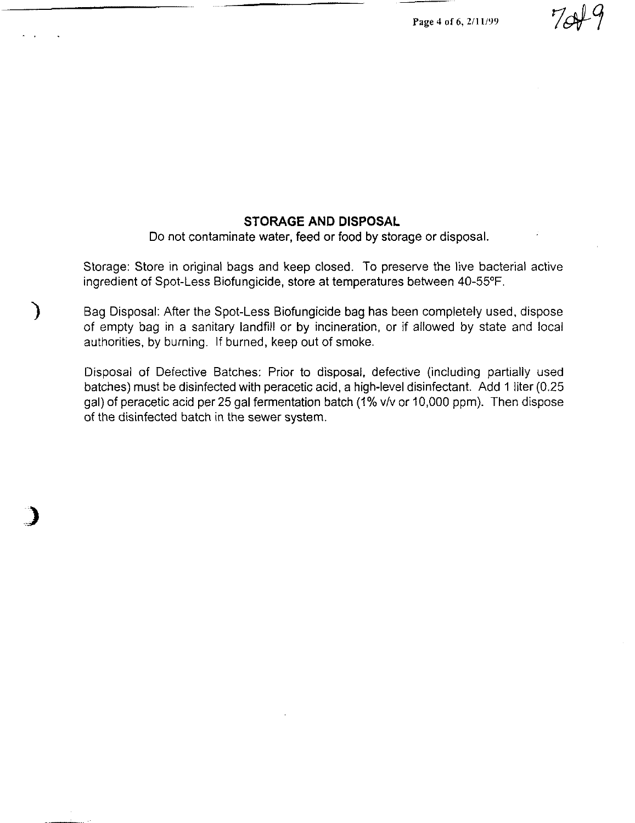Page 4 of 6, *2111199* 

#### **STORAGE AND DISPOSAL**

Do not contaminate water, feed or food by storage or disposal.

Storage: Store in original bags and keep closed. To preserve the live bacterial active ingredient of Spot-Less Biofungicide, store at temperatures between 40-55°F.

) Bag Disposal: After the Spot-Less Biofungicide bag has been completely used, dispose of empty bag in a sanitary landfill or by incineration, or if allowed by state and local authorities, by burning. If burned, keep out of smoke.

Disposal of Defective Batches: Prior to disposal, defective (including partially used batches) must be disinfected with peracetic acid, a high-level disinfectant. Add 1 liter (0.25 gal) of peracetic acid per 25 gal fermentation batch (1% v/v or 10,000 ppm). Then dispose of the disinfected batch in the sewer system.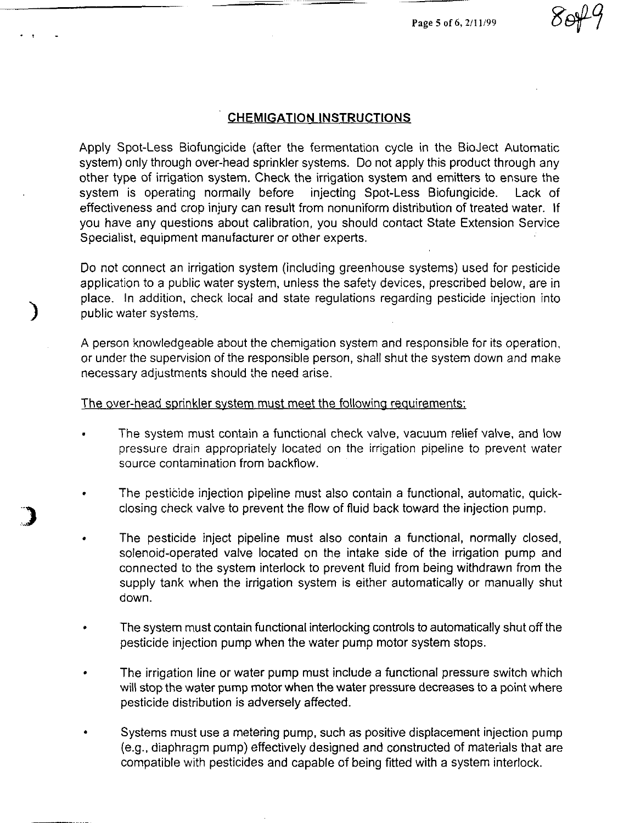Page 5 of 6, 2/11/99

#### **CHEMIGATION INSTRUCTIONS**

. ,

)

Apply Spot-Less Biofungicide (after the fermentation cycle in the BioJect Automatic system) only through over-head sprinkler systems. Do not apply this product through any other type of irrigation system. Check the irrigation system and emitters to ensure the system is operating normally before injecting Spot-Less Biofungicide. Lack of effectiveness and crop injury can result from nonuniform distribution of treated water. If you have any questions about calibration, you should contact State Extension Service Specialist, equipment manufacturer or other experts.

Do not connect an irrigation system (including greenhouse systems) used for pesticide application to a public water system, unless the safety devices, prescribed below, are in place. In addition, check local and state regulations regarding pesticide injection into public water systems.

A person knowledgeable about the chemigation system and responsible for its operation, or under the supervision of the responsible person, shall shut the system down and make necessary adjustments should the need arise.

#### The over-head sprinkler system must meet the following requirements:

- The system must contain a functional check valve, vacuum relief valve, and low pressure drain appropriately located on the irrigation pipeline to prevent water source contamination from backflow.
- The pesticide injection pipeline must also contain a functional, automatic, quickclosing check valve to prevent the flow of fluid back toward the injection pump.
- The pesticide inject pipeline must also contain a functional, normally closed, solenoid-operated valve located on the intake side of the irrigation pump and connected to the system interlock to prevent fluid from being withdrawn from the supply tank when the irrigation system is either automatically or manually shut down.
- The system must contain functional interlocking controls to automatically shut off the pesticide injection pump when the water pump motor system stops.
- The irrigation line or water pump must include a functional pressure switch which will stop the water pump motor when the water pressure decreases to a point where pesticide distribution is adversely affected.
- Systems must use a metering pump, such as positive displacement injection pump (e.g., diaphragm pump) effectively designed and constructed of materials that are compatible with pesticides and capable of being fitted with a system interlock.